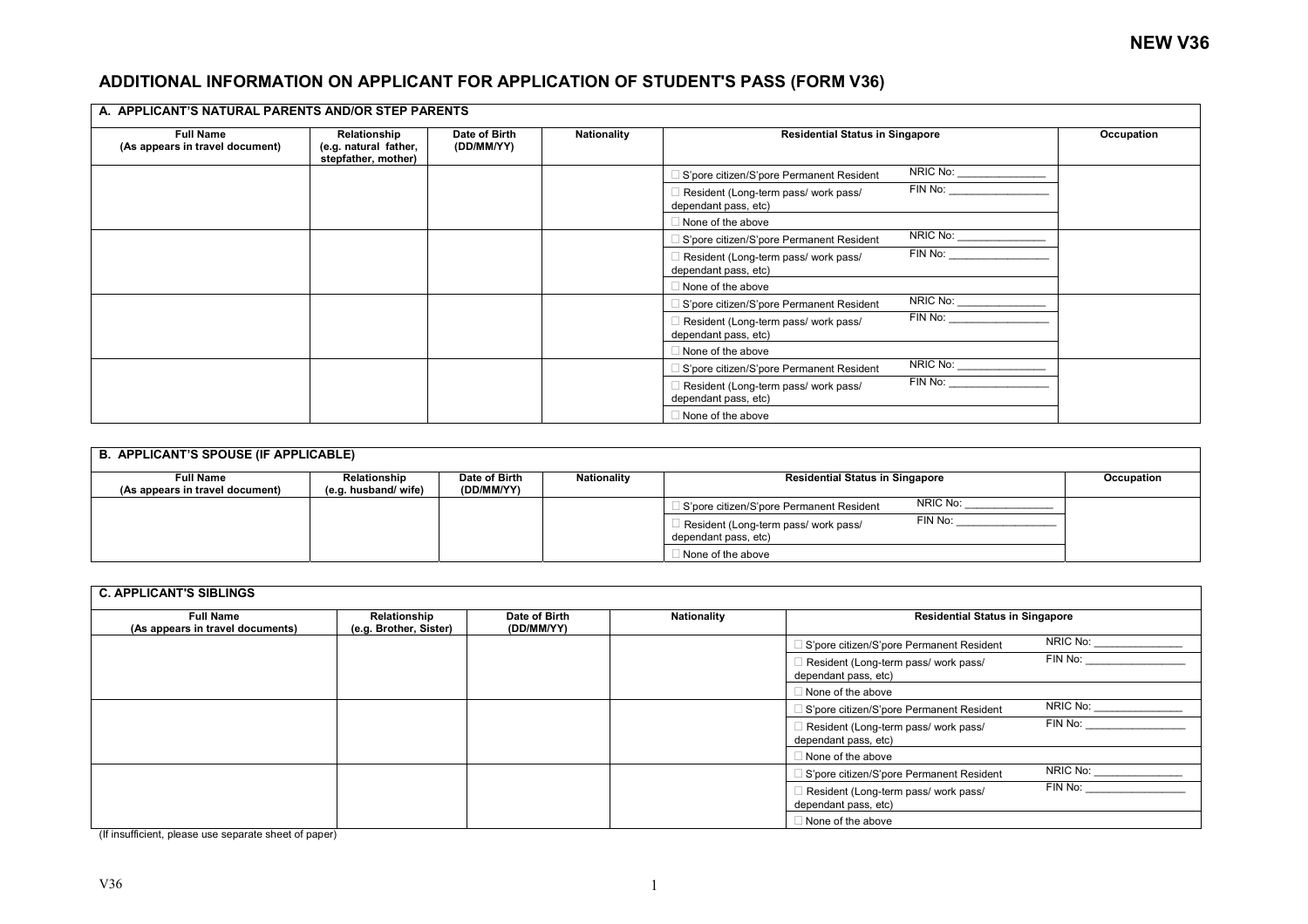## **ADDITIONAL INFORMATION ON APPLICANT FOR APPLICATION OF STUDENT'S PASS (FORM V36)**

| A. APPLICANT'S NATURAL PARENTS AND/OR STEP PARENTS  |                                                              |                             |             |                                                              |                                                                                                                                                                                                                                |            |  |
|-----------------------------------------------------|--------------------------------------------------------------|-----------------------------|-------------|--------------------------------------------------------------|--------------------------------------------------------------------------------------------------------------------------------------------------------------------------------------------------------------------------------|------------|--|
| <b>Full Name</b><br>(As appears in travel document) | Relationship<br>(e.g. natural father,<br>stepfather, mother) | Date of Birth<br>(DD/MM/YY) | Nationality | <b>Residential Status in Singapore</b>                       |                                                                                                                                                                                                                                | Occupation |  |
|                                                     |                                                              |                             |             | S'pore citizen/S'pore Permanent Resident                     | NRIC No:                                                                                                                                                                                                                       |            |  |
|                                                     |                                                              |                             |             | Resident (Long-term pass/ work pass/<br>dependant pass, etc) | FIN No:                                                                                                                                                                                                                        |            |  |
|                                                     |                                                              |                             |             | None of the above                                            |                                                                                                                                                                                                                                |            |  |
|                                                     |                                                              |                             |             | S'pore citizen/S'pore Permanent Resident                     | NRIC No:                                                                                                                                                                                                                       |            |  |
|                                                     |                                                              |                             |             | Resident (Long-term pass/ work pass/<br>dependant pass, etc) | FIN No: The contract of the contract of the contract of the contract of the contract of the contract of the contract of the contract of the contract of the contract of the contract of the contract of the contract of the co |            |  |
|                                                     |                                                              |                             |             | None of the above                                            |                                                                                                                                                                                                                                |            |  |
|                                                     |                                                              |                             |             | S'pore citizen/S'pore Permanent Resident                     | NRIC No:                                                                                                                                                                                                                       |            |  |
|                                                     |                                                              |                             |             | Resident (Long-term pass/ work pass/<br>dependant pass, etc) | FIN No: The contract of the contract of the contract of the contract of the contract of the contract of the contract of the contract of the contract of the contract of the contract of the contract of the contract of the co |            |  |
|                                                     |                                                              |                             |             | None of the above                                            |                                                                                                                                                                                                                                |            |  |
|                                                     |                                                              |                             |             | S'pore citizen/S'pore Permanent Resident                     | NRIC No:                                                                                                                                                                                                                       |            |  |
|                                                     |                                                              |                             |             | Resident (Long-term pass/ work pass/<br>dependant pass, etc) | FIN No: The contract of the contract of the contract of the contract of the contract of the contract of the contract of the contract of the contract of the contract of the contract of the contract of the contract of the co |            |  |
|                                                     |                                                              |                             |             | None of the above                                            |                                                                                                                                                                                                                                |            |  |

| <b>B. APPLICANT'S SPOUSE (IF APPLICABLE)</b>        |                                     |                             |                    |                                                                         |            |  |  |
|-----------------------------------------------------|-------------------------------------|-----------------------------|--------------------|-------------------------------------------------------------------------|------------|--|--|
| <b>Full Name</b><br>(As appears in travel document) | Relationship<br>(e.g. husband/wife) | Date of Birth<br>(DD/MM/YY) | <b>Nationality</b> | <b>Residential Status in Singapore</b>                                  | Occupation |  |  |
|                                                     |                                     |                             |                    | NRIC No:<br>S'pore citizen/S'pore Permanent Resident                    |            |  |  |
|                                                     |                                     |                             |                    | FIN No:<br>Resident (Long-term pass/ work pass/<br>dependant pass, etc) |            |  |  |
|                                                     |                                     |                             |                    | None of the above                                                       |            |  |  |

| <b>C. APPLICANT'S SIBLINGS</b>                       |                                        |                             |             |                                                              |          |  |
|------------------------------------------------------|----------------------------------------|-----------------------------|-------------|--------------------------------------------------------------|----------|--|
| <b>Full Name</b><br>(As appears in travel documents) | Relationship<br>(e.g. Brother, Sister) | Date of Birth<br>(DD/MM/YY) | Nationality | <b>Residential Status in Singapore</b>                       |          |  |
|                                                      |                                        |                             |             | S'pore citizen/S'pore Permanent Resident                     | NRIC No: |  |
|                                                      |                                        |                             |             | Resident (Long-term pass/ work pass/<br>dependant pass, etc) | FIN No:  |  |
|                                                      |                                        |                             |             | None of the above                                            |          |  |
|                                                      |                                        |                             |             | S'pore citizen/S'pore Permanent Resident                     | NRIC No: |  |
|                                                      |                                        |                             |             | Resident (Long-term pass/ work pass/<br>dependant pass, etc) | FIN No:  |  |
|                                                      |                                        |                             |             | $\Box$ None of the above                                     |          |  |
|                                                      |                                        |                             |             | S'pore citizen/S'pore Permanent Resident                     | NRIC No: |  |
|                                                      |                                        |                             |             | Resident (Long-term pass/ work pass/<br>dependant pass, etc) | FIN No:  |  |
|                                                      |                                        |                             |             | None of the above                                            |          |  |

(If insufficient, please use separate sheet of paper)